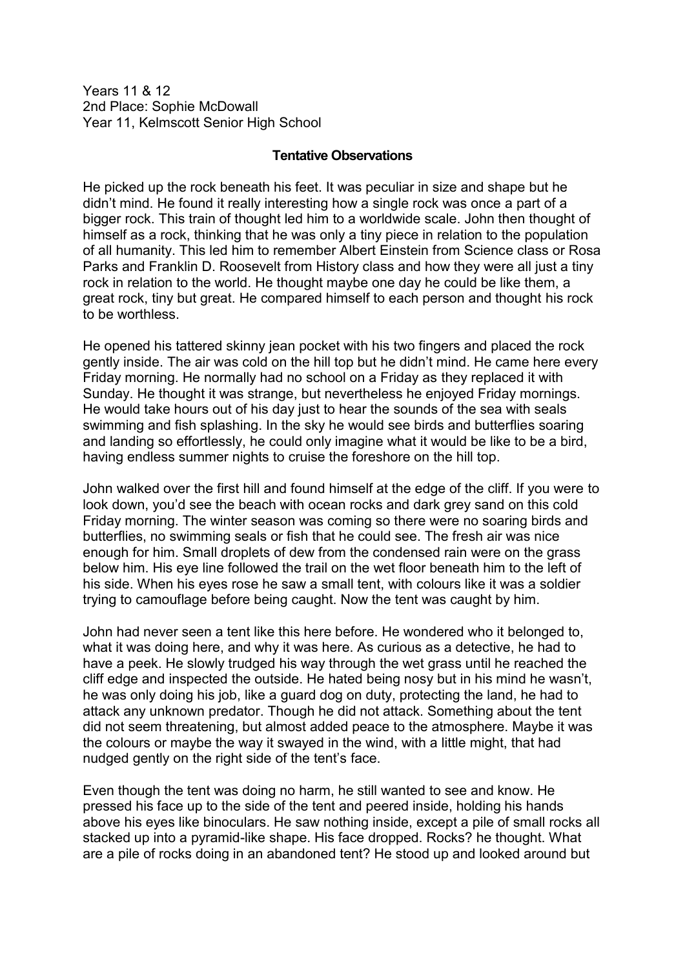Years 11 & 12 2nd Place: Sophie McDowall Year 11, Kelmscott Senior High School

## **Tentative Observations**

He picked up the rock beneath his feet. It was peculiar in size and shape but he didn't mind. He found it really interesting how a single rock was once a part of a bigger rock. This train of thought led him to a worldwide scale. John then thought of himself as a rock, thinking that he was only a tiny piece in relation to the population of all humanity. This led him to remember Albert Einstein from Science class or Rosa Parks and Franklin D. Roosevelt from History class and how they were all just a tiny rock in relation to the world. He thought maybe one day he could be like them, a great rock, tiny but great. He compared himself to each person and thought his rock to be worthless.

He opened his tattered skinny jean pocket with his two fingers and placed the rock gently inside. The air was cold on the hill top but he didn't mind. He came here every Friday morning. He normally had no school on a Friday as they replaced it with Sunday. He thought it was strange, but nevertheless he enjoyed Friday mornings. He would take hours out of his day just to hear the sounds of the sea with seals swimming and fish splashing. In the sky he would see birds and butterflies soaring and landing so effortlessly, he could only imagine what it would be like to be a bird, having endless summer nights to cruise the foreshore on the hill top.

John walked over the first hill and found himself at the edge of the cliff. If you were to look down, you'd see the beach with ocean rocks and dark grey sand on this cold Friday morning. The winter season was coming so there were no soaring birds and butterflies, no swimming seals or fish that he could see. The fresh air was nice enough for him. Small droplets of dew from the condensed rain were on the grass below him. His eye line followed the trail on the wet floor beneath him to the left of his side. When his eyes rose he saw a small tent, with colours like it was a soldier trying to camouflage before being caught. Now the tent was caught by him.

John had never seen a tent like this here before. He wondered who it belonged to, what it was doing here, and why it was here. As curious as a detective, he had to have a peek. He slowly trudged his way through the wet grass until he reached the cliff edge and inspected the outside. He hated being nosy but in his mind he wasn't, he was only doing his job, like a guard dog on duty, protecting the land, he had to attack any unknown predator. Though he did not attack. Something about the tent did not seem threatening, but almost added peace to the atmosphere. Maybe it was the colours or maybe the way it swayed in the wind, with a little might, that had nudged gently on the right side of the tent's face.

Even though the tent was doing no harm, he still wanted to see and know. He pressed his face up to the side of the tent and peered inside, holding his hands above his eyes like binoculars. He saw nothing inside, except a pile of small rocks all stacked up into a pyramid-like shape. His face dropped. Rocks? he thought. What are a pile of rocks doing in an abandoned tent? He stood up and looked around but